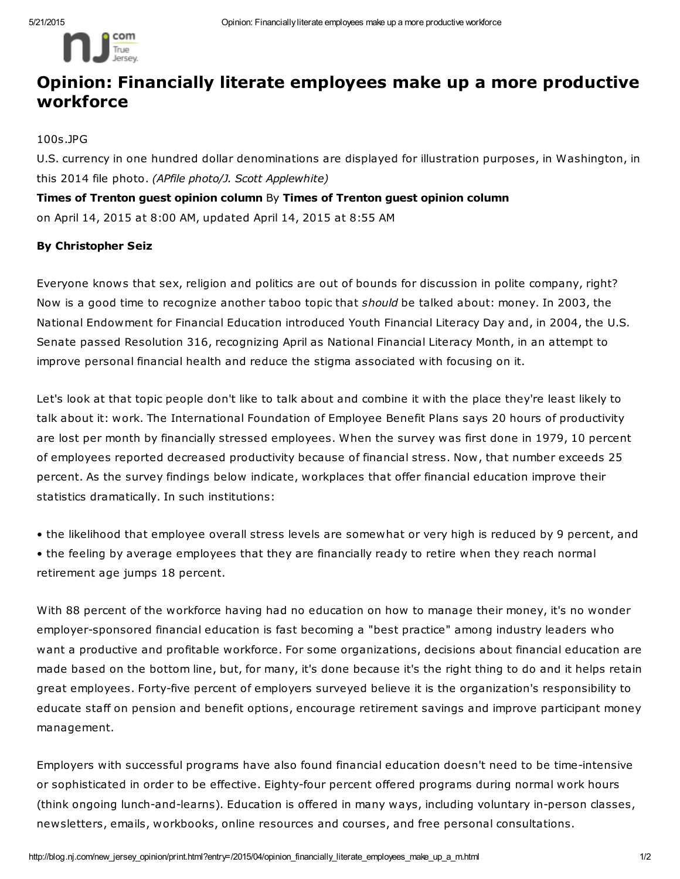

## Opinion: Financially literate employees make up a more productive workforce

100s.JPG

U.S. currency in one hundred dollar denominations are displayed for illustration purposes, in Washington, in this 2014 file photo. *(APfile photo/J. Scott Applewhite)*

Times of Trenton guest opinion column By Times of Trenton guest opinion column on April 14, 2015 at 8:00 AM, updated April 14, 2015 at 8:55 AM

## By Christopher Seiz

Everyone knows that sex, religion and politics are out of bounds for discussion in polite company, right? Now is a good time to recognize another taboo topic that *should* be talked about: money. In 2003, the National Endowment for Financial Education introduced Youth Financial Literacy Day and, in 2004, the U.S. Senate passed Resolution 316, recognizing April as National Financial Literacy Month, in an attempt to improve personal financial health and reduce the stigma associated with focusing on it.

Let's look at that topic people don't like to talk about and combine it with the place they're least likely to talk about it: work. The International Foundation of Employee Benefit Plans says 20 hours of productivity are lost per month by financially stressed employees. When the survey was first done in 1979, 10 percent of employees reported decreased productivity because of financial stress. Now, that number exceeds 25 percent. As the survey findings below indicate, workplaces that offer financial education improve their statistics dramatically. In such institutions:

• the likelihood that employee overall stress levels are somewhat or very high is reduced by 9 percent, and • the feeling by average employees that they are financially ready to retire when they reach normal retirement age jumps 18 percent.

With 88 percent of the workforce having had no education on how to manage their money, it's no wonder employer-sponsored financial education is fast becoming a "best practice" among industry leaders who want a productive and profitable workforce. For some organizations, decisions about financial education are made based on the bottom line, but, for many, it's done because it's the right thing to do and it helps retain great employees. Forty-five percent of employers surveyed believe it is the organization's responsibility to educate staff on pension and benefit options, encourage retirement savings and improve participant money management.

Employers with successful programs have also found financial education doesn't need to be time-intensive or sophisticated in order to be effective. Eighty-four percent offered programs during normal work hours (think ongoing lunch-and-learns). Education is offered in many ways, including voluntary in-person classes, newsletters, emails, workbooks, online resources and courses, and free personal consultations.